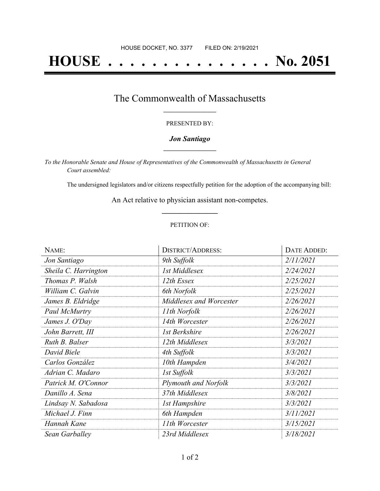# **HOUSE . . . . . . . . . . . . . . . No. 2051**

### The Commonwealth of Massachusetts **\_\_\_\_\_\_\_\_\_\_\_\_\_\_\_\_\_**

#### PRESENTED BY:

#### *Jon Santiago* **\_\_\_\_\_\_\_\_\_\_\_\_\_\_\_\_\_**

*To the Honorable Senate and House of Representatives of the Commonwealth of Massachusetts in General Court assembled:*

The undersigned legislators and/or citizens respectfully petition for the adoption of the accompanying bill:

An Act relative to physician assistant non-competes. **\_\_\_\_\_\_\_\_\_\_\_\_\_\_\_**

#### PETITION OF:

| NAME:                | <b>DISTRICT/ADDRESS:</b>    | DATE ADDED: |
|----------------------|-----------------------------|-------------|
| Jon Santiago         | 9th Suffolk                 | 2/11/2021   |
| Sheila C. Harrington | 1st Middlesex               | 2/24/2021   |
| Thomas P. Walsh      | 12th Essex                  | 2/25/2021   |
| William C. Galvin    | 6th Norfolk                 | 2/25/2021   |
| James B. Eldridge    | Middlesex and Worcester     | 2/26/2021   |
| Paul McMurtry        | 11th Norfolk                | 2/26/2021   |
| James J. O'Day       | 14th Worcester              | 2/26/2021   |
| John Barrett, III    | 1st Berkshire               | 2/26/2021   |
| Ruth B. Balser       | 12th Middlesex              | 3/3/2021    |
| David Biele          | 4th Suffolk                 | 3/3/2021    |
| Carlos González      | 10th Hampden                | 3/4/2021    |
| Adrian C. Madaro     | 1st Suffolk                 | 3/3/2021    |
| Patrick M. O'Connor  | <b>Plymouth and Norfolk</b> | 3/3/2021    |
| Danillo A. Sena      | 37th Middlesex              | 3/8/2021    |
| Lindsay N. Sabadosa  | <b>1st Hampshire</b>        | 3/3/2021    |
| Michael J. Finn      | 6th Hampden                 | 3/11/2021   |
| Hannah Kane          | 11th Worcester              | 3/15/2021   |
| Sean Garballey       | 23rd Middlesex              | 3/18/2021   |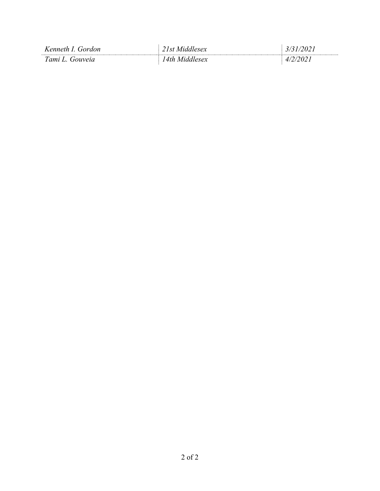| Kenneth I. Gordon | 21st Middlesex | 3/31/2021    |
|-------------------|----------------|--------------|
| Tami L. Gouveia   | 14th Middlesex | רחר<br>4 I Z |